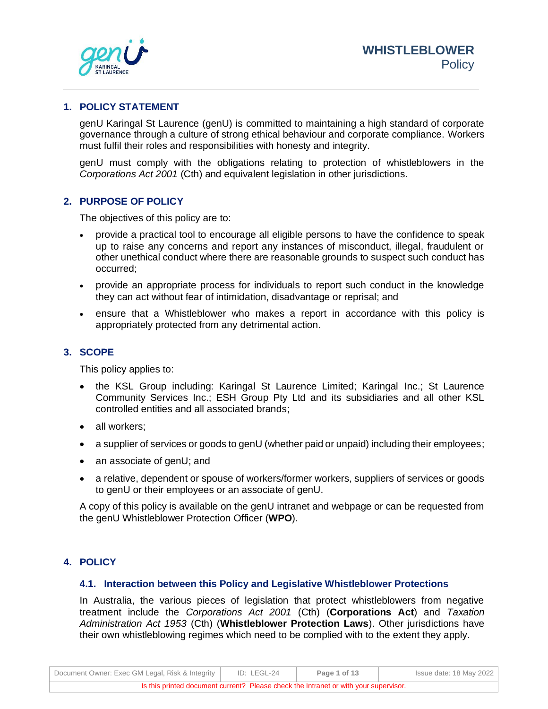

#### **1. POLICY STATEMENT**

genU Karingal St Laurence (genU) is committed to maintaining a high standard of corporate governance through a culture of strong ethical behaviour and corporate compliance. Workers must fulfil their roles and responsibilities with honesty and integrity.

genU must comply with the obligations relating to protection of whistleblowers in the *Corporations Act 2001* (Cth) and equivalent legislation in other jurisdictions.

### **2. PURPOSE OF POLICY**

The objectives of this policy are to:

- provide a practical tool to encourage all eligible persons to have the confidence to speak up to raise any concerns and report any instances of misconduct, illegal, fraudulent or other unethical conduct where there are reasonable grounds to suspect such conduct has occurred;
- provide an appropriate process for individuals to report such conduct in the knowledge they can act without fear of intimidation, disadvantage or reprisal; and
- ensure that a Whistleblower who makes a report in accordance with this policy is appropriately protected from any detrimental action.

### **3. SCOPE**

This policy applies to:

- the KSL Group including: Karingal St Laurence Limited; Karingal Inc.; St Laurence Community Services Inc.; ESH Group Pty Ltd and its subsidiaries and all other KSL controlled entities and all associated brands;
- all workers:
- a supplier of services or goods to genU (whether paid or unpaid) including their employees;
- an associate of genU; and
- a relative, dependent or spouse of workers/former workers, suppliers of services or goods to genU or their employees or an associate of genU.

A copy of this policy is available on the genU intranet and webpage or can be requested from the genU Whistleblower Protection Officer (**WPO**).

## **4. POLICY**

### **4.1. Interaction between this Policy and Legislative Whistleblower Protections**

In Australia, the various pieces of legislation that protect whistleblowers from negative treatment include the *Corporations Act 2001* (Cth) (**Corporations Act**) and *Taxation Administration Act 1953* (Cth) (**Whistleblower Protection Laws**). Other jurisdictions have their own whistleblowing regimes which need to be complied with to the extent they apply.

| Document Owner: Exec GM Legal, Risk & Integrity                                      | ID: LEGL-24 | Page 1 of 13 | Issue date: 18 May 2022 |
|--------------------------------------------------------------------------------------|-------------|--------------|-------------------------|
| Is this printed document current? Please check the Intranet or with your supervisor. |             |              |                         |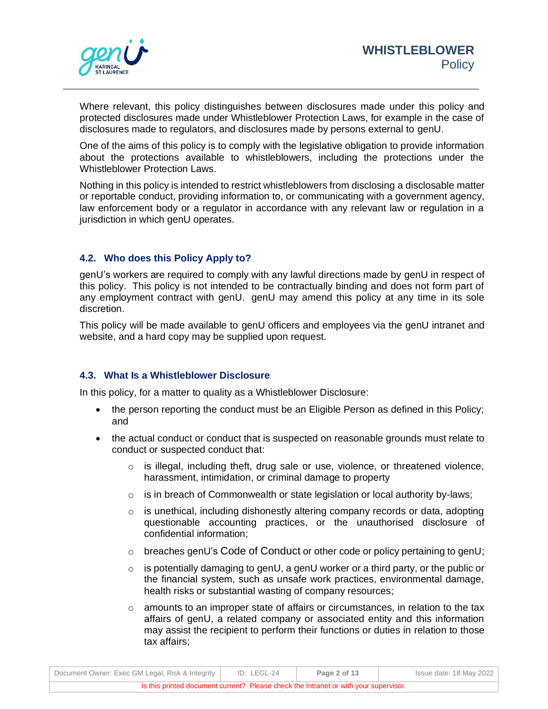

Where relevant, this policy distinguishes between disclosures made under this policy and protected disclosures made under Whistleblower Protection Laws, for example in the case of disclosures made to regulators, and disclosures made by persons external to genU.

One of the aims of this policy is to comply with the legislative obligation to provide information about the protections available to whistleblowers, including the protections under the Whistleblower Protection Laws.

Nothing in this policy is intended to restrict whistleblowers from disclosing a disclosable matter or reportable conduct, providing information to, or communicating with a government agency, law enforcement body or a regulator in accordance with any relevant law or regulation in a jurisdiction in which genU operates.

# **4.2. Who does this Policy Apply to?**

genU's workers are required to comply with any lawful directions made by genU in respect of this policy. This policy is not intended to be contractually binding and does not form part of any employment contract with genU. genU may amend this policy at any time in its sole discretion.

This policy will be made available to genU officers and employees via the genU intranet and website, and a hard copy may be supplied upon request.

## **4.3. What Is a Whistleblower Disclosure**

In this policy, for a matter to quality as a Whistleblower Disclosure:

- the person reporting the conduct must be an Eligible Person as defined in this Policy; and
- the actual conduct or conduct that is suspected on reasonable grounds must relate to conduct or suspected conduct that:
	- $\circ$  is illegal, including theft, drug sale or use, violence, or threatened violence, harassment, intimidation, or criminal damage to property
	- o is in breach of Commonwealth or state legislation or local authority by-laws;
	- $\circ$  is unethical, including dishonestly altering company records or data, adopting questionable accounting practices, or the unauthorised disclosure of confidential information;
	- o breaches genU's [Code of Conduct](https://kslcloud.sharepoint.com/sites/business-partnering-and-employee-relations/_layouts/15/DocIdRedir.aspx?ID=BPER-1574235210-22) or other code or policy pertaining to genU;
	- o is potentially damaging to genU, a genU worker or a third party, or the public or the financial system, such as unsafe work practices, environmental damage, health risks or substantial wasting of company resources;
	- $\circ$  amounts to an improper state of affairs or circumstances, in relation to the tax affairs of genU, a related company or associated entity and this information may assist the recipient to perform their functions or duties in relation to those tax affairs;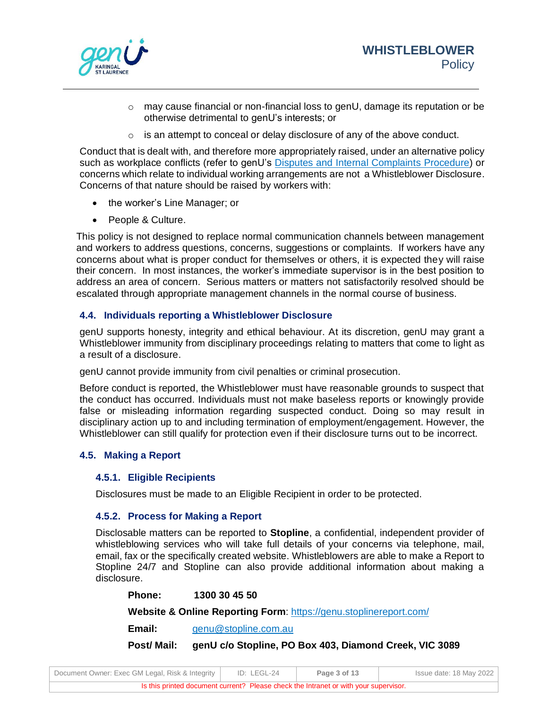

- $\circ$  may cause financial or non-financial loss to genU, damage its reputation or be otherwise detrimental to genU's interests; or
- o is an attempt to conceal or delay disclosure of any of the above conduct.

Conduct that is dealt with, and therefore more appropriately raised, under an alternative policy such as workplace conflicts (refer to genU's [Disputes and Internal Complaints Procedure\)](https://kslcloud.sharepoint.com/sites/business-partnering-and-employee-relations/_layouts/15/DocIdRedir.aspx?ID=BPER-1574235210-16) or concerns which relate to individual working arrangements are not a Whistleblower Disclosure. Concerns of that nature should be raised by workers with:

- the worker's Line Manager; or
- People & Culture.

This policy is not designed to replace normal communication channels between management and workers to address questions, concerns, suggestions or complaints. If workers have any concerns about what is proper conduct for themselves or others, it is expected they will raise their concern. In most instances, the worker's immediate supervisor is in the best position to address an area of concern. Serious matters or matters not satisfactorily resolved should be escalated through appropriate management channels in the normal course of business.

# **4.4. Individuals reporting a Whistleblower Disclosure**

genU supports honesty, integrity and ethical behaviour. At its discretion, genU may grant a Whistleblower immunity from disciplinary proceedings relating to matters that come to light as a result of a disclosure.

genU cannot provide immunity from civil penalties or criminal prosecution.

Before conduct is reported, the Whistleblower must have reasonable grounds to suspect that the conduct has occurred. Individuals must not make baseless reports or knowingly provide false or misleading information regarding suspected conduct. Doing so may result in disciplinary action up to and including termination of employment/engagement. However, the Whistleblower can still qualify for protection even if their disclosure turns out to be incorrect.

# **4.5. Making a Report**

## **4.5.1. Eligible Recipients**

Disclosures must be made to an Eligible Recipient in order to be protected.

## **4.5.2. Process for Making a Report**

Disclosable matters can be reported to **Stopline**, a confidential, independent provider of whistleblowing services who will take full details of your concerns via telephone, mail, email, fax or the specifically created website. Whistleblowers are able to make a Report to Stopline 24/7 and Stopline can also provide additional information about making a disclosure.

**Phone: 1300 30 45 50**

**Website & Online Reporting Form**:<https://genu.stoplinereport.com/>

**Email:** [genu@stopline.com.au](mailto:genu@stopline.com.au)

**Post/ Mail: genU c/o Stopline, PO Box 403, Diamond Creek, VIC 3089**

| Document Owner: Exec GM Legal, Risk & Integrity                                      |  | ID: LEGL-24 | Page 3 of 13 |  | Issue date: 18 May 2022 |
|--------------------------------------------------------------------------------------|--|-------------|--------------|--|-------------------------|
| Is this printed document current? Please check the Intranet or with your supervisor. |  |             |              |  |                         |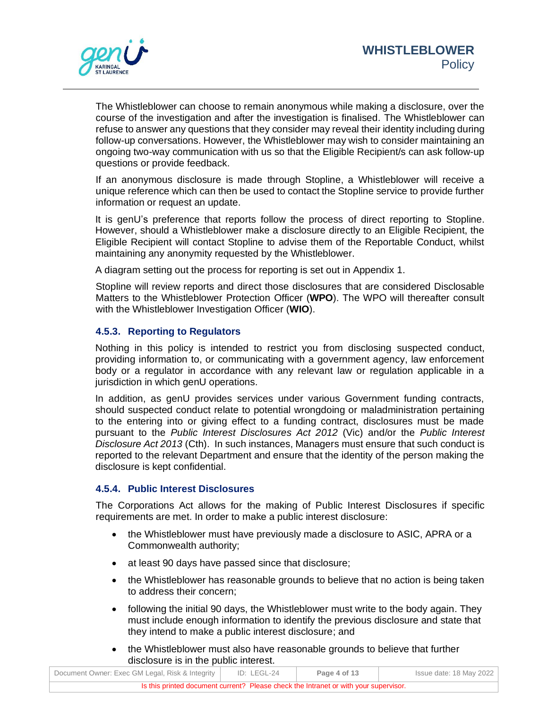

The Whistleblower can choose to remain anonymous while making a disclosure, over the course of the investigation and after the investigation is finalised. The Whistleblower can refuse to answer any questions that they consider may reveal their identity including during follow-up conversations. However, the Whistleblower may wish to consider maintaining an ongoing two-way communication with us so that the Eligible Recipient/s can ask follow-up questions or provide feedback.

If an anonymous disclosure is made through Stopline, a Whistleblower will receive a unique reference which can then be used to contact the Stopline service to provide further information or request an update.

It is genU's preference that reports follow the process of direct reporting to Stopline. However, should a Whistleblower make a disclosure directly to an Eligible Recipient, the Eligible Recipient will contact Stopline to advise them of the Reportable Conduct, whilst maintaining any anonymity requested by the Whistleblower.

A diagram setting out the process for reporting is set out in Appendix 1.

Stopline will review reports and direct those disclosures that are considered Disclosable Matters to the Whistleblower Protection Officer (**WPO**). The WPO will thereafter consult with the Whistleblower Investigation Officer (**WIO**).

# **4.5.3. Reporting to Regulators**

Nothing in this policy is intended to restrict you from disclosing suspected conduct, providing information to, or communicating with a government agency, law enforcement body or a regulator in accordance with any relevant law or regulation applicable in a jurisdiction in which genU operations.

In addition, as genU provides services under various Government funding contracts, should suspected conduct relate to potential wrongdoing or maladministration pertaining to the entering into or giving effect to a funding contract, disclosures must be made pursuant to the *Public Interest Disclosures Act 2012* (Vic) and/or the *Public Interest Disclosure Act 2013* (Cth). In such instances, Managers must ensure that such conduct is reported to the relevant Department and ensure that the identity of the person making the disclosure is kept confidential.

## **4.5.4. Public Interest Disclosures**

The Corporations Act allows for the making of Public Interest Disclosures if specific requirements are met. In order to make a public interest disclosure:

- the Whistleblower must have previously made a disclosure to ASIC, APRA or a Commonwealth authority;
- at least 90 days have passed since that disclosure;
- the Whistleblower has reasonable grounds to believe that no action is being taken to address their concern;
- following the initial 90 days, the Whistleblower must write to the body again. They must include enough information to identify the previous disclosure and state that they intend to make a public interest disclosure; and
- the Whistleblower must also have reasonable grounds to believe that further disclosure is in the public interest.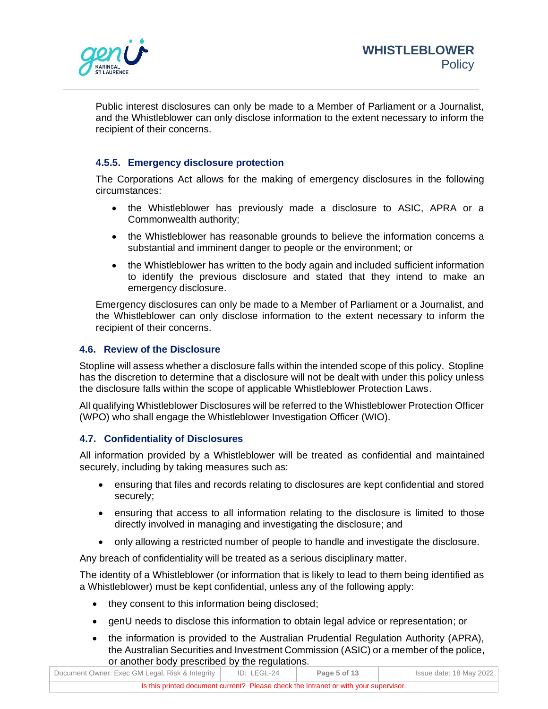

Public interest disclosures can only be made to a Member of Parliament or a Journalist, and the Whistleblower can only disclose information to the extent necessary to inform the recipient of their concerns.

# **4.5.5. Emergency disclosure protection**

The Corporations Act allows for the making of emergency disclosures in the following circumstances:

- the Whistleblower has previously made a disclosure to ASIC, APRA or a Commonwealth authority;
- the Whistleblower has reasonable grounds to believe the information concerns a substantial and imminent danger to people or the environment; or
- the Whistleblower has written to the body again and included sufficient information to identify the previous disclosure and stated that they intend to make an emergency disclosure.

Emergency disclosures can only be made to a Member of Parliament or a Journalist, and the Whistleblower can only disclose information to the extent necessary to inform the recipient of their concerns.

# **4.6. Review of the Disclosure**

Stopline will assess whether a disclosure falls within the intended scope of this policy. Stopline has the discretion to determine that a disclosure will not be dealt with under this policy unless the disclosure falls within the scope of applicable Whistleblower Protection Laws.

All qualifying Whistleblower Disclosures will be referred to the Whistleblower Protection Officer (WPO) who shall engage the Whistleblower Investigation Officer (WIO).

# **4.7. Confidentiality of Disclosures**

All information provided by a Whistleblower will be treated as confidential and maintained securely, including by taking measures such as:

- ensuring that files and records relating to disclosures are kept confidential and stored securely;
- ensuring that access to all information relating to the disclosure is limited to those directly involved in managing and investigating the disclosure; and
- only allowing a restricted number of people to handle and investigate the disclosure.

Any breach of confidentiality will be treated as a serious disciplinary matter.

The identity of a Whistleblower (or information that is likely to lead to them being identified as a Whistleblower) must be kept confidential, unless any of the following apply:

- they consent to this information being disclosed;
- genU needs to disclose this information to obtain legal advice or representation; or
- the information is provided to the Australian Prudential Regulation Authority (APRA), the Australian Securities and Investment Commission (ASIC) or a member of the police, or another body prescribed by the regulations.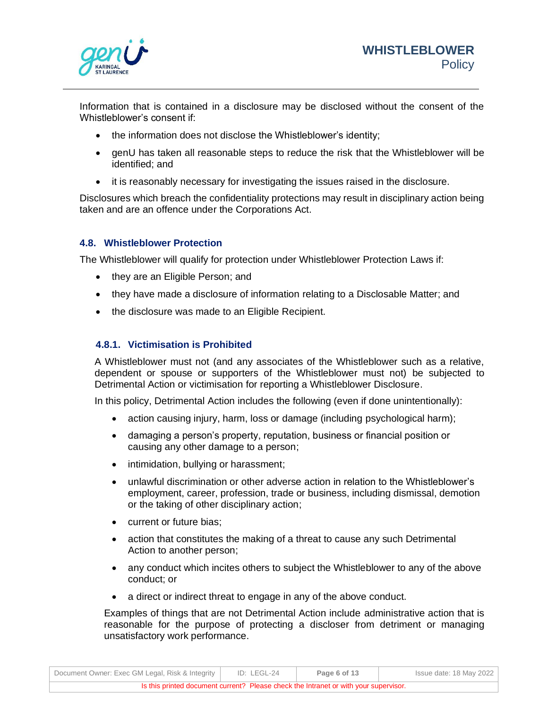

Information that is contained in a disclosure may be disclosed without the consent of the Whistleblower's consent if:

- the information does not disclose the Whistleblower's identity;
- genU has taken all reasonable steps to reduce the risk that the Whistleblower will be identified; and
- it is reasonably necessary for investigating the issues raised in the disclosure.

Disclosures which breach the confidentiality protections may result in disciplinary action being taken and are an offence under the Corporations Act.

# **4.8. Whistleblower Protection**

The Whistleblower will qualify for protection under Whistleblower Protection Laws if:

- they are an Eligible Person; and
- they have made a disclosure of information relating to a Disclosable Matter; and
- the disclosure was made to an Eligible Recipient.

# **4.8.1. Victimisation is Prohibited**

A Whistleblower must not (and any associates of the Whistleblower such as a relative, dependent or spouse or supporters of the Whistleblower must not) be subjected to Detrimental Action or victimisation for reporting a Whistleblower Disclosure.

In this policy, Detrimental Action includes the following (even if done unintentionally):

- action causing injury, harm, loss or damage (including psychological harm);
- damaging a person's property, reputation, business or financial position or causing any other damage to a person;
- intimidation, bullying or harassment;
- unlawful discrimination or other adverse action in relation to the Whistleblower's employment, career, profession, trade or business, including dismissal, demotion or the taking of other disciplinary action;
- current or future bias;
- action that constitutes the making of a threat to cause any such Detrimental Action to another person;
- any conduct which incites others to subject the Whistleblower to any of the above conduct; or
- a direct or indirect threat to engage in any of the above conduct.

Examples of things that are not Detrimental Action include administrative action that is reasonable for the purpose of protecting a discloser from detriment or managing unsatisfactory work performance.

|                                                 |             | Is this printed document current? Please check the Intranet or with your supervisor. |                         |
|-------------------------------------------------|-------------|--------------------------------------------------------------------------------------|-------------------------|
| Document Owner: Exec GM Legal, Risk & Integrity | ID: LEGL-24 | Page 6 of 13                                                                         | Issue date: 18 May 2022 |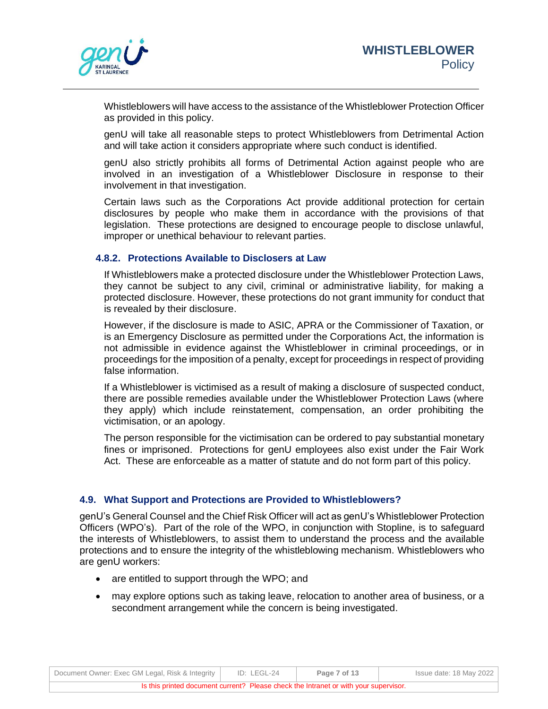

Whistleblowers will have access to the assistance of the Whistleblower Protection Officer as provided in this policy.

genU will take all reasonable steps to protect Whistleblowers from Detrimental Action and will take action it considers appropriate where such conduct is identified.

genU also strictly prohibits all forms of Detrimental Action against people who are involved in an investigation of a Whistleblower Disclosure in response to their involvement in that investigation.

Certain laws such as the Corporations Act provide additional protection for certain disclosures by people who make them in accordance with the provisions of that legislation. These protections are designed to encourage people to disclose unlawful, improper or unethical behaviour to relevant parties.

### **4.8.2. Protections Available to Disclosers at Law**

If Whistleblowers make a protected disclosure under the Whistleblower Protection Laws, they cannot be subject to any civil, criminal or administrative liability, for making a protected disclosure. However, these protections do not grant immunity for conduct that is revealed by their disclosure.

However, if the disclosure is made to ASIC, APRA or the Commissioner of Taxation, or is an Emergency Disclosure as permitted under the Corporations Act, the information is not admissible in evidence against the Whistleblower in criminal proceedings, or in proceedings for the imposition of a penalty, except for proceedings in respect of providing false information.

If a Whistleblower is victimised as a result of making a disclosure of suspected conduct, there are possible remedies available under the Whistleblower Protection Laws (where they apply) which include reinstatement, compensation, an order prohibiting the victimisation, or an apology.

The person responsible for the victimisation can be ordered to pay substantial monetary fines or imprisoned. Protections for genU employees also exist under the Fair Work Act. These are enforceable as a matter of statute and do not form part of this policy.

### **4.9. What Support and Protections are Provided to Whistleblowers?**

genU's General Counsel and the Chief Risk Officer will act as genU's Whistleblower Protection Officers (WPO's). Part of the role of the WPO, in conjunction with Stopline, is to safeguard the interests of Whistleblowers, to assist them to understand the process and the available protections and to ensure the integrity of the whistleblowing mechanism. Whistleblowers who are genU workers:

- are entitled to support through the WPO; and
- may explore options such as taking leave, relocation to another area of business, or a secondment arrangement while the concern is being investigated.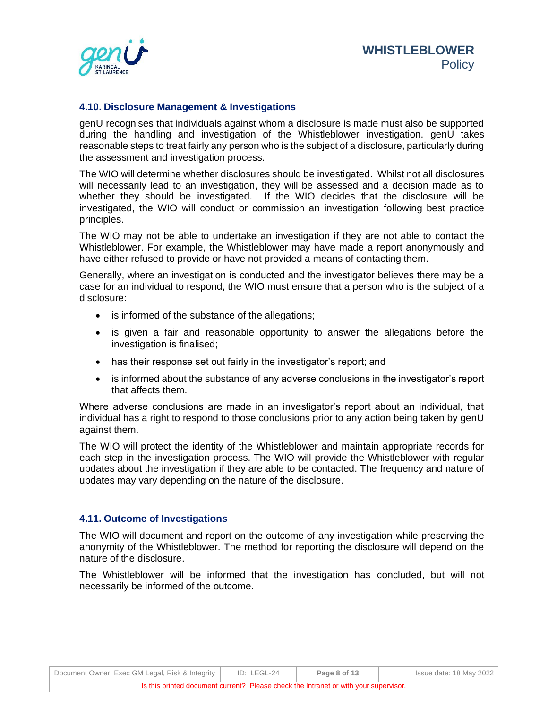

### **4.10. Disclosure Management & Investigations**

genU recognises that individuals against whom a disclosure is made must also be supported during the handling and investigation of the Whistleblower investigation. genU takes reasonable steps to treat fairly any person who is the subject of a disclosure, particularly during the assessment and investigation process.

The WIO will determine whether disclosures should be investigated. Whilst not all disclosures will necessarily lead to an investigation, they will be assessed and a decision made as to whether they should be investigated. If the WIO decides that the disclosure will be investigated, the WIO will conduct or commission an investigation following best practice principles.

The WIO may not be able to undertake an investigation if they are not able to contact the Whistleblower. For example, the Whistleblower may have made a report anonymously and have either refused to provide or have not provided a means of contacting them.

Generally, where an investigation is conducted and the investigator believes there may be a case for an individual to respond, the WIO must ensure that a person who is the subject of a disclosure:

- is informed of the substance of the allegations;
- is given a fair and reasonable opportunity to answer the allegations before the investigation is finalised;
- has their response set out fairly in the investigator's report; and
- is informed about the substance of any adverse conclusions in the investigator's report that affects them.

Where adverse conclusions are made in an investigator's report about an individual, that individual has a right to respond to those conclusions prior to any action being taken by genU against them.

The WIO will protect the identity of the Whistleblower and maintain appropriate records for each step in the investigation process. The WIO will provide the Whistleblower with regular updates about the investigation if they are able to be contacted. The frequency and nature of updates may vary depending on the nature of the disclosure.

## **4.11. Outcome of Investigations**

The WIO will document and report on the outcome of any investigation while preserving the anonymity of the Whistleblower. The method for reporting the disclosure will depend on the nature of the disclosure.

The Whistleblower will be informed that the investigation has concluded, but will not necessarily be informed of the outcome.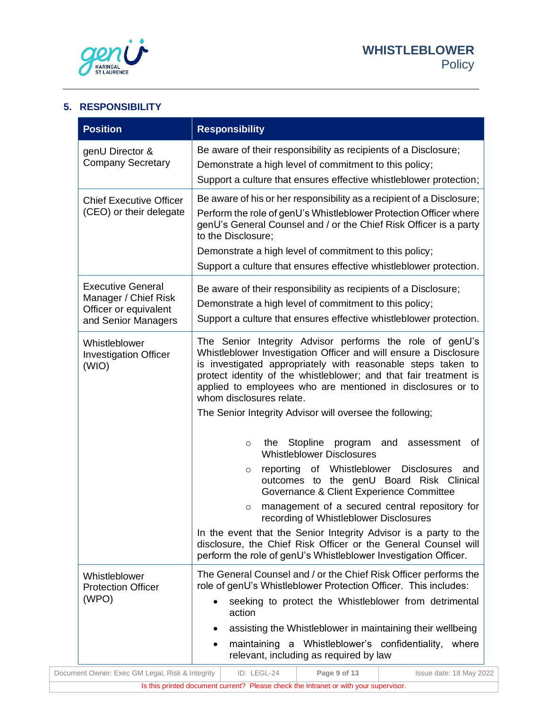

# **5. RESPONSIBILITY**

| <b>Position</b>                                                                                  | <b>Responsibility</b>                                                                                                                                                                                                                                                                                                                                                                                                                                                                                                                                                                                                                |  |  |  |  |
|--------------------------------------------------------------------------------------------------|--------------------------------------------------------------------------------------------------------------------------------------------------------------------------------------------------------------------------------------------------------------------------------------------------------------------------------------------------------------------------------------------------------------------------------------------------------------------------------------------------------------------------------------------------------------------------------------------------------------------------------------|--|--|--|--|
| genU Director &<br><b>Company Secretary</b>                                                      | Be aware of their responsibility as recipients of a Disclosure;<br>Demonstrate a high level of commitment to this policy;<br>Support a culture that ensures effective whistleblower protection;                                                                                                                                                                                                                                                                                                                                                                                                                                      |  |  |  |  |
| <b>Chief Executive Officer</b><br>(CEO) or their delegate                                        | Be aware of his or her responsibility as a recipient of a Disclosure;<br>Perform the role of genU's Whistleblower Protection Officer where<br>genU's General Counsel and / or the Chief Risk Officer is a party<br>to the Disclosure;<br>Demonstrate a high level of commitment to this policy;<br>Support a culture that ensures effective whistleblower protection.                                                                                                                                                                                                                                                                |  |  |  |  |
| <b>Executive General</b><br>Manager / Chief Risk<br>Officer or equivalent<br>and Senior Managers | Be aware of their responsibility as recipients of a Disclosure;<br>Demonstrate a high level of commitment to this policy;<br>Support a culture that ensures effective whistleblower protection.                                                                                                                                                                                                                                                                                                                                                                                                                                      |  |  |  |  |
| Whistleblower<br><b>Investigation Officer</b><br>(WIO)                                           | The Senior Integrity Advisor performs the role of genU's<br>Whistleblower Investigation Officer and will ensure a Disclosure<br>is investigated appropriately with reasonable steps taken to<br>protect identity of the whistleblower; and that fair treatment is<br>applied to employees who are mentioned in disclosures or to<br>whom disclosures relate.                                                                                                                                                                                                                                                                         |  |  |  |  |
|                                                                                                  | The Senior Integrity Advisor will oversee the following;<br>Stopline<br>program<br>and<br>0f<br>the<br>assessment<br>$\circ$<br><b>Whistleblower Disclosures</b><br>reporting of Whistleblower Disclosures<br>and<br>$\circ$<br>outcomes to the genU Board Risk Clinical<br>Governance & Client Experience Committee<br>management of a secured central repository for<br>$\circ$<br>recording of Whistleblower Disclosures<br>In the event that the Senior Integrity Advisor is a party to the<br>disclosure, the Chief Risk Officer or the General Counsel will<br>perform the role of genU's Whistleblower Investigation Officer. |  |  |  |  |
| Whistleblower<br><b>Protection Officer</b><br>(WPO)                                              | The General Counsel and / or the Chief Risk Officer performs the<br>role of genU's Whistleblower Protection Officer. This includes:<br>seeking to protect the Whistleblower from detrimental<br>action<br>assisting the Whistleblower in maintaining their wellbeing<br>maintaining a Whistleblower's confidentiality, where<br>relevant, including as required by law                                                                                                                                                                                                                                                               |  |  |  |  |
|                                                                                                  |                                                                                                                                                                                                                                                                                                                                                                                                                                                                                                                                                                                                                                      |  |  |  |  |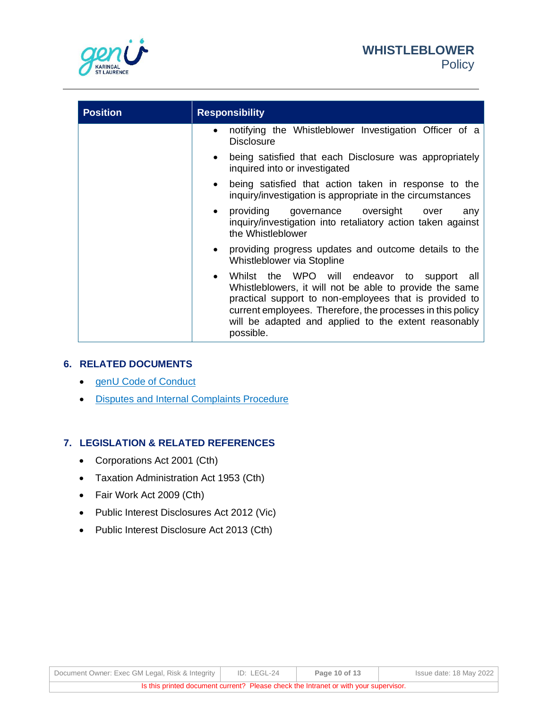



| <b>Position</b> | <b>Responsibility</b>                                                                                                                                                                                                                                                                                            |
|-----------------|------------------------------------------------------------------------------------------------------------------------------------------------------------------------------------------------------------------------------------------------------------------------------------------------------------------|
|                 | notifying the Whistleblower Investigation Officer of a<br>$\bullet$<br><b>Disclosure</b>                                                                                                                                                                                                                         |
|                 | being satisfied that each Disclosure was appropriately<br>$\bullet$<br>inquired into or investigated                                                                                                                                                                                                             |
|                 | being satisfied that action taken in response to the<br>$\bullet$<br>inquiry/investigation is appropriate in the circumstances                                                                                                                                                                                   |
|                 | providing governance oversight over<br>any<br>$\bullet$<br>inquiry/investigation into retaliatory action taken against<br>the Whistleblower                                                                                                                                                                      |
|                 | providing progress updates and outcome details to the<br>$\bullet$<br>Whistleblower via Stopline                                                                                                                                                                                                                 |
|                 | Whilst the WPO will endeavor to support all<br>$\bullet$<br>Whistleblowers, it will not be able to provide the same<br>practical support to non-employees that is provided to<br>current employees. Therefore, the processes in this policy<br>will be adapted and applied to the extent reasonably<br>possible. |

### **6. RELATED DOCUMENTS**

- [genU Code of Conduct](https://kslcloud.sharepoint.com/sites/business-partnering-and-employee-relations/_layouts/15/DocIdRedir.aspx?ID=BPER-1574235210-22)
- [Disputes and Internal Complaints Procedure](https://kslcloud.sharepoint.com/sites/business-partnering-and-employee-relations/_layouts/15/DocIdRedir.aspx?ID=BPER-1574235210-16)

### **7. LEGISLATION & RELATED REFERENCES**

- Corporations Act 2001 (Cth)
- Taxation Administration Act 1953 (Cth)
- Fair Work Act 2009 (Cth)
- Public Interest Disclosures Act 2012 (Vic)
- Public Interest Disclosure Act 2013 (Cth)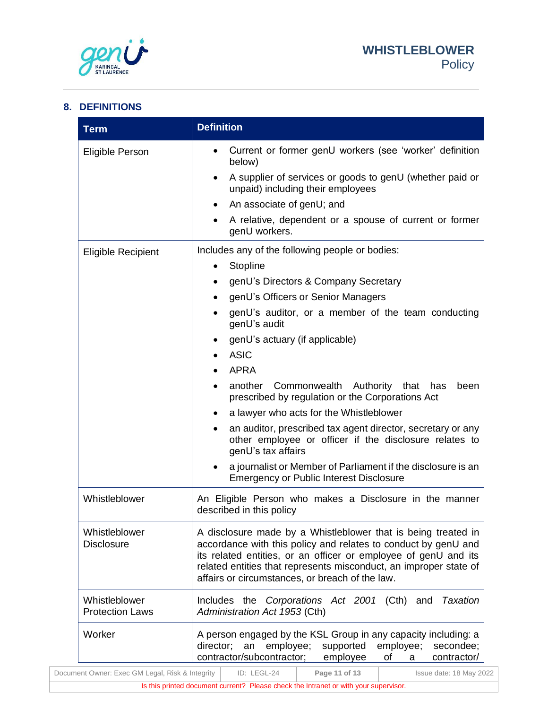

# **8. DEFINITIONS**

| <b>Term</b>                             | <b>Definition</b>                                                                                                                                                                                                                                                                                                          |
|-----------------------------------------|----------------------------------------------------------------------------------------------------------------------------------------------------------------------------------------------------------------------------------------------------------------------------------------------------------------------------|
| <b>Eligible Person</b>                  | Current or former genU workers (see 'worker' definition<br>below)                                                                                                                                                                                                                                                          |
|                                         | A supplier of services or goods to genU (whether paid or<br>unpaid) including their employees                                                                                                                                                                                                                              |
|                                         | An associate of genU; and                                                                                                                                                                                                                                                                                                  |
|                                         | A relative, dependent or a spouse of current or former<br>genU workers.                                                                                                                                                                                                                                                    |
| <b>Eligible Recipient</b>               | Includes any of the following people or bodies:                                                                                                                                                                                                                                                                            |
|                                         | Stopline<br>٠                                                                                                                                                                                                                                                                                                              |
|                                         | genU's Directors & Company Secretary                                                                                                                                                                                                                                                                                       |
|                                         | genU's Officers or Senior Managers                                                                                                                                                                                                                                                                                         |
|                                         | genU's auditor, or a member of the team conducting<br>genU's audit                                                                                                                                                                                                                                                         |
|                                         | genU's actuary (if applicable)                                                                                                                                                                                                                                                                                             |
|                                         | <b>ASIC</b>                                                                                                                                                                                                                                                                                                                |
|                                         | <b>APRA</b>                                                                                                                                                                                                                                                                                                                |
|                                         | another<br>Commonwealth<br>Authority that<br>has<br>been<br>prescribed by regulation or the Corporations Act                                                                                                                                                                                                               |
|                                         | a lawyer who acts for the Whistleblower                                                                                                                                                                                                                                                                                    |
|                                         | an auditor, prescribed tax agent director, secretary or any<br>other employee or officer if the disclosure relates to<br>genU's tax affairs                                                                                                                                                                                |
|                                         | a journalist or Member of Parliament if the disclosure is an<br><b>Emergency or Public Interest Disclosure</b>                                                                                                                                                                                                             |
| Whistleblower                           | An Eligible Person who makes a Disclosure in the manner<br>described in this policy                                                                                                                                                                                                                                        |
| Whistleblower<br><b>Disclosure</b>      | A disclosure made by a Whistleblower that is being treated in<br>accordance with this policy and relates to conduct by genU and<br>its related entities, or an officer or employee of genU and its<br>related entities that represents misconduct, an improper state of<br>affairs or circumstances, or breach of the law. |
| Whistleblower<br><b>Protection Laws</b> | <b>Taxation</b><br>Includes the Corporations Act 2001 (Cth) and<br>Administration Act 1953 (Cth)                                                                                                                                                                                                                           |
| Worker                                  | A person engaged by the KSL Group in any capacity including: a<br>employee;<br>director;<br>an<br>supported<br>employee;<br>secondee;<br>contractor/subcontractor;<br>employee<br>contractor/<br>οf<br>a                                                                                                                   |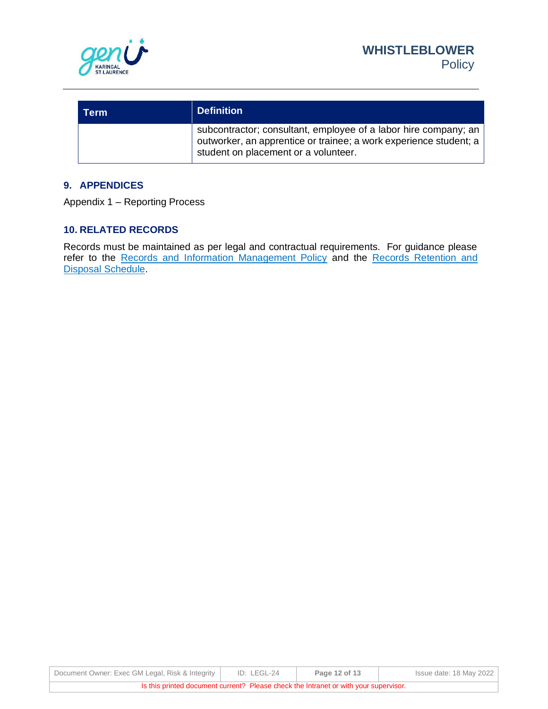

| Term | <b>Definition</b>                                                                                                                                                            |
|------|------------------------------------------------------------------------------------------------------------------------------------------------------------------------------|
|      | subcontractor; consultant, employee of a labor hire company; an<br>outworker, an apprentice or trainee; a work experience student; a<br>student on placement or a volunteer. |

# **9. APPENDICES**

Appendix 1 – Reporting Process

## **10. RELATED RECORDS**

Records must be maintained as per legal and contractual requirements. For guidance please refer to the [Records and Information Management Policy](https://kslcloud.sharepoint.com/sites/quality-risk-and-compliance/_layouts/15/DocIdRedir.aspx?ID=QUAL-222142279-47) and the Records Retention and [Disposal Schedule.](https://kslcloud.sharepoint.com/sites/quality-risk-and-compliance/_layouts/15/DocIdRedir.aspx?ID=QUAL-222142279-49)

| Document Owner: Exec GM Legal, Risk & Integrity | ID: LEGL-24 | Page 12 of 13 | Issue date: 18 May 2022 |
|-------------------------------------------------|-------------|---------------|-------------------------|
|                                                 |             |               |                         |